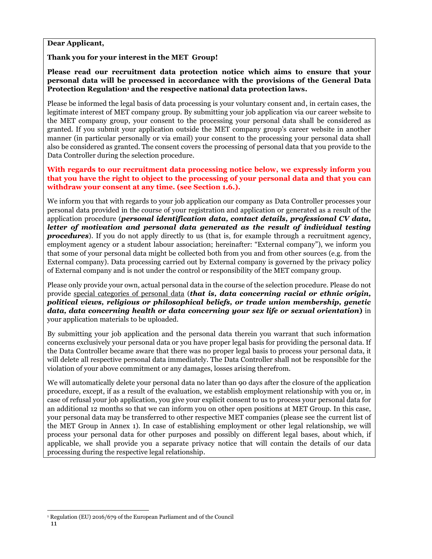### **Dear Applicant,**

### **Thank you for your interest in the MET Group!**

**Please read our recruitment data protection notice which aims to ensure that your personal data will be processed in accordance with the provisions of the General Data Protection Regulation<sup>1</sup> and the respective national data protection laws.** 

Please be informed the legal basis of data processing is your voluntary consent and, in certain cases, the legitimate interest of MET company group. By submitting your job application via our career website to the MET company group, your consent to the processing your personal data shall be considered as granted. If you submit your application outside the MET company group's career website in another manner (in particular personally or via email) your consent to the processing your personal data shall also be considered as granted. The consent covers the processing of personal data that you provide to the Data Controller during the selection procedure.

**With regards to our recruitment data processing notice below, we expressly inform you that you have the right to object to the processing of your personal data and that you can withdraw your consent at any time. (see Section 1.6.).** 

We inform you that with regards to your job application our company as Data Controller processes your personal data provided in the course of your registration and application or generated as a result of the application procedure (*personal identification data, contact details, professional CV data, letter of motivation and personal data generated as the result of individual testing*  **procedures**). If you do not apply directly to us (that is, for example through a recruitment agency, employment agency or a student labour association; hereinafter: "External company"), we inform you that some of your personal data might be collected both from you and from other sources (e.g. from the External company). Data processing carried out by External company is governed by the privacy policy of External company and is not under the control or responsibility of the MET company group.

Please only provide your own, actual personal data in the course of the selection procedure. Please do not provide special categories of personal data (*that is, data concerning racial or ethnic origin, political views, religious or philosophical beliefs, or trade union membership, genetic data, data concerning health or data concerning your sex life or sexual orientation***)** in your application materials to be uploaded.

By submitting your job application and the personal data therein you warrant that such information concerns exclusively your personal data or you have proper legal basis for providing the personal data. If the Data Controller became aware that there was no proper legal basis to process your personal data, it will delete all respective personal data immediately. The Data Controller shall not be responsible for the violation of your above commitment or any damages, losses arising therefrom.

We will automatically delete your personal data no later than 90 days after the closure of the application procedure, except, if as a result of the evaluation, we establish employment relationship with you or, in case of refusal your job application, you give your explicit consent to us to process your personal data for an additional 12 months so that we can inform you on other open positions at MET Group. In this case, your personal data may be transferred to other respective MET companies (please see the current list of the MET Group in Annex 1). In case of establishing employment or other legal relationship, we will process your personal data for other purposes and possibly on different legal bases, about which, if applicable, we shall provide you a separate privacy notice that will contain the details of our data processing during the respective legal relationship.

<sup>1</sup> Regulation (EU) 2016/679 of the European Parliament and of the Council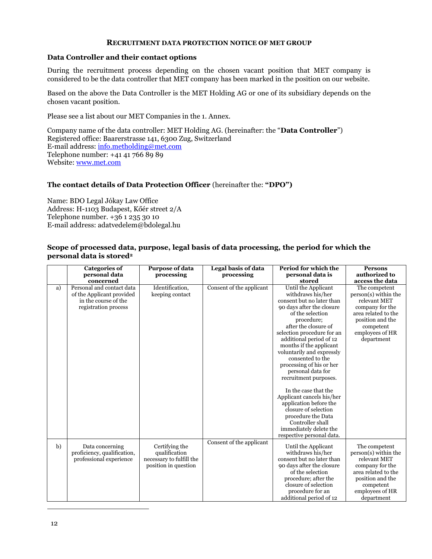#### **RECRUITMENT DATA PROTECTION NOTICE OF MET GROUP**

#### **Data Controller and their contact options**

During the recruitment process depending on the chosen vacant position that MET company is considered to be the data controller that MET company has been marked in the position on our website.

Based on the above the Data Controller is the MET Holding AG or one of its subsidiary depends on the chosen vacant position.

Please see a list about our MET Companies in the 1. Annex.

Company name of the data controller: MET Holding AG. (hereinafter: the "**Data Controller**") Registered office: Baarerstrasse 141, 6300 Zug, Switzerland E-mail address: [info.metholding@met.com](mailto:info.metholding@met.com) Telephone number: +41 41 766 89 89 Website: [www.met.com](http://www.met.com/)

### **The contact details of Data Protection Officer** (hereinafter the: **"DPO")**

Name: BDO Legal Jókay Law Office Address: H-1103 Budapest, Kőér street 2/A Telephone number. +36 1 235 30 10 E-mail address: adatvedelem@bdolegal.hu

#### **Scope of processed data, purpose, legal basis of data processing, the period for which the personal data is stored<sup>2</sup>**

|    | <b>Categories of</b>        | <b>Purpose of data</b>   | Legal basis of data      | Period for which the                                  | <b>Persons</b>                |
|----|-----------------------------|--------------------------|--------------------------|-------------------------------------------------------|-------------------------------|
|    | personal data               | processing               | processing               | personal data is                                      | authorized to                 |
|    | concerned                   |                          |                          | stored                                                | access the data               |
| a) | Personal and contact data   | Identification,          | Consent of the applicant | Until the Applicant                                   | The competent                 |
|    | of the Applicant provided   | keeping contact          |                          | withdraws his/her                                     | $person(s)$ within the        |
|    | in the course of the        |                          |                          | consent but no later than                             | relevant MET                  |
|    | registration process        |                          |                          | 90 days after the closure                             | company for the               |
|    |                             |                          |                          | of the selection                                      | area related to the           |
|    |                             |                          |                          | procedure;                                            | position and the              |
|    |                             |                          |                          | after the closure of                                  | competent                     |
|    |                             |                          |                          | selection procedure for an<br>additional period of 12 | employees of HR<br>department |
|    |                             |                          |                          | months if the applicant                               |                               |
|    |                             |                          |                          | voluntarily and expressly                             |                               |
|    |                             |                          |                          | consented to the                                      |                               |
|    |                             |                          |                          | processing of his or her                              |                               |
|    |                             |                          |                          | personal data for                                     |                               |
|    |                             |                          |                          | recruitment purposes.                                 |                               |
|    |                             |                          |                          |                                                       |                               |
|    |                             |                          |                          | In the case that the                                  |                               |
|    |                             |                          |                          | Applicant cancels his/her                             |                               |
|    |                             |                          |                          | application before the                                |                               |
|    |                             |                          |                          | closure of selection                                  |                               |
|    |                             |                          |                          | procedure the Data                                    |                               |
|    |                             |                          |                          | Controller shall                                      |                               |
|    |                             |                          |                          | immediately delete the                                |                               |
|    |                             |                          |                          | respective personal data.                             |                               |
| b) | Data concerning             | Certifying the           | Consent of the applicant | Until the Applicant                                   | The competent                 |
|    | proficiency, qualification, | qualification            |                          | withdraws his/her                                     | $person(s)$ within the        |
|    | professional experience     | necessary to fulfill the |                          | consent but no later than                             | relevant MET                  |
|    |                             | position in question     |                          | 90 days after the closure                             | company for the               |
|    |                             |                          |                          | of the selection                                      | area related to the           |
|    |                             |                          |                          | procedure; after the                                  | position and the              |
|    |                             |                          |                          | closure of selection                                  | competent                     |
|    |                             |                          |                          | procedure for an                                      | employees of HR               |
|    |                             |                          |                          | additional period of 12                               | department                    |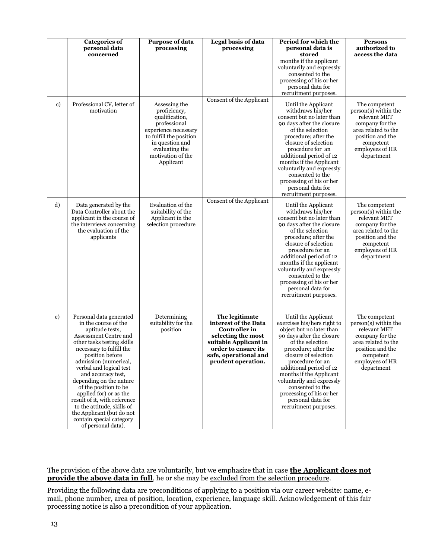|              | <b>Categories of</b><br>personal data<br>concerned                                                                                                                                                                                                                                                                                                                                                                                                                            | <b>Purpose of data</b><br>processing                                                                                                                                                      | <b>Legal basis of data</b><br>processing                                                                                                                                            | Period for which the<br>personal data is<br>stored                                                                                                                                                                                                                                                                                                                                   | <b>Persons</b><br>authorized to<br>access the data                                                                                                                  |
|--------------|-------------------------------------------------------------------------------------------------------------------------------------------------------------------------------------------------------------------------------------------------------------------------------------------------------------------------------------------------------------------------------------------------------------------------------------------------------------------------------|-------------------------------------------------------------------------------------------------------------------------------------------------------------------------------------------|-------------------------------------------------------------------------------------------------------------------------------------------------------------------------------------|--------------------------------------------------------------------------------------------------------------------------------------------------------------------------------------------------------------------------------------------------------------------------------------------------------------------------------------------------------------------------------------|---------------------------------------------------------------------------------------------------------------------------------------------------------------------|
|              |                                                                                                                                                                                                                                                                                                                                                                                                                                                                               |                                                                                                                                                                                           |                                                                                                                                                                                     | months if the applicant<br>voluntarily and expressly<br>consented to the<br>processing of his or her<br>personal data for<br>recruitment purposes.                                                                                                                                                                                                                                   |                                                                                                                                                                     |
| $\mathbf{c}$ | Professional CV, letter of<br>motivation                                                                                                                                                                                                                                                                                                                                                                                                                                      | Assessing the<br>proficiency,<br>qualification,<br>professional<br>experience necessary<br>to fulfill the position<br>in question and<br>evaluating the<br>motivation of the<br>Applicant | Consent of the Applicant                                                                                                                                                            | Until the Applicant<br>withdraws his/her<br>consent but no later than<br>90 days after the closure<br>of the selection<br>procedure; after the<br>closure of selection<br>procedure for an<br>additional period of 12<br>months if the Applicant<br>voluntarily and expressly<br>consented to the<br>processing of his or her<br>personal data for<br>recruitment purposes.          | The competent<br>$person(s)$ within the<br>relevant MET<br>company for the<br>area related to the<br>position and the<br>competent<br>employees of HR<br>department |
| d)           | Data generated by the<br>Data Controller about the<br>applicant in the course of<br>the interviews concerning<br>the evaluation of the<br>applicants                                                                                                                                                                                                                                                                                                                          | Evaluation of the<br>suitability of the<br>Applicant in the<br>selection procedure                                                                                                        | Consent of the Applicant                                                                                                                                                            | Until the Applicant<br>withdraws his/her<br>consent but no later than<br>90 days after the closure<br>of the selection<br>procedure; after the<br>closure of selection<br>procedure for an<br>additional period of 12<br>months if the applicant<br>voluntarily and expressly<br>consented to the<br>processing of his or her<br>personal data for<br>recruitment purposes.          | The competent<br>person(s) within the<br>relevant MET<br>company for the<br>area related to the<br>position and the<br>competent<br>employees of HR<br>department   |
| e)           | Personal data generated<br>in the course of the<br>aptitude tests,<br>Assessment Centre and<br>other tasks testing skills<br>necessary to fulfill the<br>position before<br>admission (numerical,<br>verbal and logical test<br>and accuracy test,<br>depending on the nature<br>of the position to be<br>applied for) or as the<br>result of it, with reference<br>to the attitude, skills of<br>the Applicant (but do not<br>contain special category<br>of personal data). | Determining<br>suitability for the<br>position                                                                                                                                            | The legitimate<br>interest of the Data<br><b>Controller</b> in<br>selecting the most<br>suitable Applicant in<br>order to ensure its<br>safe, operational and<br>prudent operation. | Until the Applicant<br>exercises his/hers right to<br>object but no later than<br>90 days after the closure<br>of the selection<br>procedure; after the<br>closure of selection<br>procedure for an<br>additional period of 12<br>months if the Applicant<br>voluntarily and expressly<br>consented to the<br>processing of his or her<br>personal data for<br>recruitment purposes. | The competent<br>person(s) within the<br>relevant MET<br>company for the<br>area related to the<br>position and the<br>competent<br>employees of HR<br>department   |

The provision of the above data are voluntarily, but we emphasize that in case **the Applicant does not provide the above data in full**, he or she may be excluded from the selection procedure.

Providing the following data are preconditions of applying to a position via our career website: name, email, phone number, area of position, location, experience, language skill. Acknowledgement of this fair processing notice is also a precondition of your application.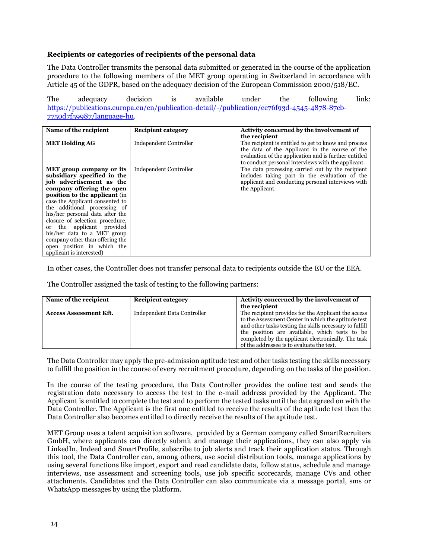### **Recipients or categories of recipients of the personal data**

The Data Controller transmits the personal data submitted or generated in the course of the application procedure to the following members of the MET group operating in Switzerland in accordance with Article 45 of the GDPR, based on the adequacy decision of the European Commission 2000/518/EC.

The adequacy decision is available under the following link: [https://publications.europa.eu/en/publication-detail/-/publication/ee76f93d-4545-4878-87cb-](https://publications.europa.eu/en/publication-detail/-/publication/ee76f93d-4545-4878-87cb-7750d7f59987/language-hu)[7750d7f59987/language-hu.](https://publications.europa.eu/en/publication-detail/-/publication/ee76f93d-4545-4878-87cb-7750d7f59987/language-hu)

| Name of the recipient           | <b>Recipient category</b>     | Activity concerned by the involvement of              |
|---------------------------------|-------------------------------|-------------------------------------------------------|
|                                 |                               | the recipient                                         |
| <b>MET Holding AG</b>           | <b>Independent Controller</b> | The recipient is entitled to get to know and process  |
|                                 |                               | the data of the Applicant in the course of the        |
|                                 |                               | evaluation of the application and is further entitled |
|                                 |                               | to conduct personal interviews with the applicant.    |
| MET group company or its        | Independent Controller        | The data processing carried out by the recipient      |
| subsidiary specified in the     |                               | includes taking part in the evaluation of the         |
| job advertisement as the        |                               | applicant and conducting personal interviews with     |
| company offering the open       |                               | the Applicant.                                        |
| position to the applicant (in   |                               |                                                       |
| case the Applicant consented to |                               |                                                       |
| the additional processing of    |                               |                                                       |
| his/her personal data after the |                               |                                                       |
| closure of selection procedure, |                               |                                                       |
| the applicant provided<br>or    |                               |                                                       |
| his/her data to a MET group     |                               |                                                       |
| company other than offering the |                               |                                                       |
| open position in which the      |                               |                                                       |
| applicant is interested)        |                               |                                                       |

In other cases, the Controller does not transfer personal data to recipients outside the EU or the EEA.

The Controller assigned the task of testing to the following partners:

| Name of the recipient         | <b>Recipient category</b>   | Activity concerned by the involvement of                |
|-------------------------------|-----------------------------|---------------------------------------------------------|
|                               |                             | the recipient                                           |
| <b>Access Assessment Kft.</b> | Independent Data Controller | The recipient provides for the Applicant the access     |
|                               |                             | to the Assessment Center in which the aptitude test     |
|                               |                             | and other tasks testing the skills necessary to fulfill |
|                               |                             | the position are available, which tests to be           |
|                               |                             | completed by the applicant electronically. The task     |
|                               |                             | of the addressee is to evaluate the test.               |

The Data Controller may apply the pre-admission aptitude test and other tasks testing the skills necessary to fulfill the position in the course of every recruitment procedure, depending on the tasks of the position.

In the course of the testing procedure, the Data Controller provides the online test and sends the registration data necessary to access the test to the e-mail address provided by the Applicant. The Applicant is entitled to complete the test and to perform the tested tasks until the date agreed on with the Data Controller. The Applicant is the first one entitled to receive the results of the aptitude test then the Data Controller also becomes entitled to directly receive the results of the aptitude test.

MET Group uses a talent acquisition software, provided by a German company called SmartRecruiters GmbH, where applicants can directly submit and manage their applications, they can also apply via LinkedIn, Indeed and SmartProfile, subscribe to job alerts and track their application status. Through this tool, the Data Controller can, among others, use social distribution tools, manage applications by using several functions like import, export and read candidate data, follow status, schedule and manage interviews, use assessment and screening tools, use job specific scorecards, manage CVs and other attachments. Candidates and the Data Controller can also communicate via a message portal, sms or WhatsApp messages by using the platform.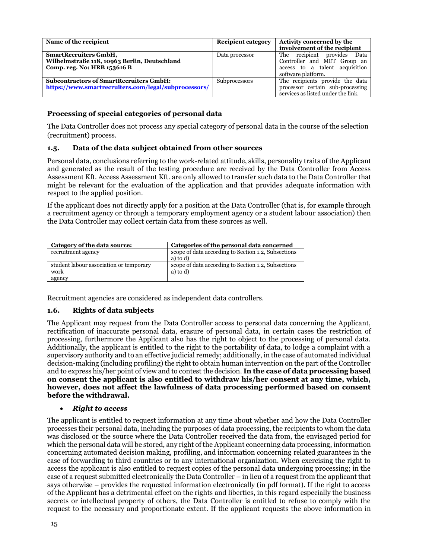| Name of the recipient                                | <b>Recipient category</b> | Activity concerned by the          |
|------------------------------------------------------|---------------------------|------------------------------------|
|                                                      |                           | involvement of the recipient       |
| <b>SmartRecruiters GmbH,</b>                         | Data processor            | The recipient provides<br>Data     |
| Wilhelmstraße 118, 10963 Berlin, Deutschland         |                           | Controller and MET Group an        |
| Comp. reg. No: HRB 153616 B                          |                           | access to a talent acquisition     |
|                                                      |                           | software platform.                 |
| <b>Subcontractors of SmartRecruiters GmbH:</b>       | Subprocessors             | The recipients provide the data    |
| https://www.smartrecruiters.com/legal/subprocessors/ |                           | processor certain sub-processing   |
|                                                      |                           | services as listed under the link. |

#### **Processing of special categories of personal data**

The Data Controller does not process any special category of personal data in the course of the selection (recruitment) process.

### **1.5. Data of the data subject obtained from other sources**

Personal data, conclusions referring to the work-related attitude, skills, personality traits of the Applicant and generated as the result of the testing procedure are received by the Data Controller from Access Assessment Kft. Access Assessment Kft. are only allowed to transfer such data to the Data Controller that might be relevant for the evaluation of the application and that provides adequate information with respect to the applied position.

If the applicant does not directly apply for a position at the Data Controller (that is, for example through a recruitment agency or through a temporary employment agency or a student labour association) then the Data Controller may collect certain data from these sources as well.

| Category of the data source:                    | Categories of the personal data concerned                       |
|-------------------------------------------------|-----------------------------------------------------------------|
| recruitment agency                              | scope of data according to Section 1.2, Subsections<br>a) to d) |
| student labour association or temporary<br>work | scope of data according to Section 1.2, Subsections<br>a) to d) |
| agency                                          |                                                                 |

Recruitment agencies are considered as independent data controllers.

#### **1.6. Rights of data subjects**

The Applicant may request from the Data Controller access to personal data concerning the Applicant, rectification of inaccurate personal data, erasure of personal data, in certain cases the restriction of processing, furthermore the Applicant also has the right to object to the processing of personal data. Additionally, the applicant is entitled to the right to the portability of data, to lodge a complaint with a supervisory authority and to an effective judicial remedy; additionally, in the case of automated individual decision-making (including profiling) the right to obtain human intervention on the part of the Controller and to express his/her point of view and to contest the decision. **In the case of data processing based on consent the applicant is also entitled to withdraw his/her consent at any time, which, however, does not affect the lawfulness of data processing performed based on consent before the withdrawal.**

#### • *Right to access*

The applicant is entitled to request information at any time about whether and how the Data Controller processes their personal data, including the purposes of data processing, the recipients to whom the data was disclosed or the source where the Data Controller received the data from, the envisaged period for which the personal data will be stored, any right of the Applicant concerning data processing, information concerning automated decision making, profiling, and information concerning related guarantees in the case of forwarding to third countries or to any international organization. When exercising the right to access the applicant is also entitled to request copies of the personal data undergoing processing; in the case of a request submitted electronically the Data Controller – in lieu of a request from the applicant that says otherwise – provides the requested information electronically (in pdf format). If the right to access of the Applicant has a detrimental effect on the rights and liberties, in this regard especially the business secrets or intellectual property of others, the Data Controller is entitled to refuse to comply with the request to the necessary and proportionate extent. If the applicant requests the above information in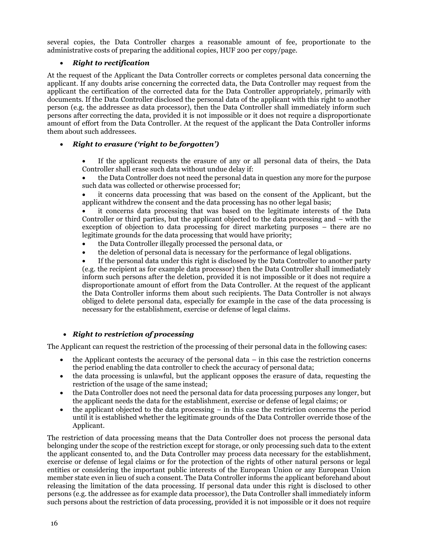several copies, the Data Controller charges a reasonable amount of fee, proportionate to the administrative costs of preparing the additional copies, HUF 200 per copy/page.

### • *Right to rectification*

At the request of the Applicant the Data Controller corrects or completes personal data concerning the applicant. If any doubts arise concerning the corrected data, the Data Controller may request from the applicant the certification of the corrected data for the Data Controller appropriately, primarily with documents. If the Data Controller disclosed the personal data of the applicant with this right to another person (e.g. the addressee as data processor), then the Data Controller shall immediately inform such persons after correcting the data, provided it is not impossible or it does not require a disproportionate amount of effort from the Data Controller. At the request of the applicant the Data Controller informs them about such addressees.

### • *Right to erasure ('right to be forgotten')*

If the applicant requests the erasure of any or all personal data of theirs, the Data Controller shall erase such data without undue delay if:

• the Data Controller does not need the personal data in question any more for the purpose such data was collected or otherwise processed for;

• it concerns data processing that was based on the consent of the Applicant, but the applicant withdrew the consent and the data processing has no other legal basis;

• it concerns data processing that was based on the legitimate interests of the Data Controller or third parties, but the applicant objected to the data processing and – with the exception of objection to data processing for direct marketing purposes – there are no legitimate grounds for the data processing that would have priority;

- the Data Controller illegally processed the personal data, or
- the deletion of personal data is necessary for the performance of legal obligations.

• If the personal data under this right is disclosed by the Data Controller to another party (e.g. the recipient as for example data processor) then the Data Controller shall immediately inform such persons after the deletion, provided it is not impossible or it does not require a disproportionate amount of effort from the Data Controller. At the request of the applicant the Data Controller informs them about such recipients. The Data Controller is not always obliged to delete personal data, especially for example in the case of the data processing is necessary for the establishment, exercise or defense of legal claims.

## • *Right to restriction of processing*

The Applicant can request the restriction of the processing of their personal data in the following cases:

- the Applicant contests the accuracy of the personal data in this case the restriction concerns the period enabling the data controller to check the accuracy of personal data;
- the data processing is unlawful, but the applicant opposes the erasure of data, requesting the restriction of the usage of the same instead;
- the Data Controller does not need the personal data for data processing purposes any longer, but the applicant needs the data for the establishment, exercise or defense of legal claims; or
- the applicant objected to the data processing in this case the restriction concerns the period until it is established whether the legitimate grounds of the Data Controller override those of the Applicant.

The restriction of data processing means that the Data Controller does not process the personal data belonging under the scope of the restriction except for storage, or only processing such data to the extent the applicant consented to, and the Data Controller may process data necessary for the establishment, exercise or defense of legal claims or for the protection of the rights of other natural persons or legal entities or considering the important public interests of the European Union or any European Union member state even in lieu of such a consent. The Data Controller informs the applicant beforehand about releasing the limitation of the data processing. If personal data under this right is disclosed to other persons (e.g. the addressee as for example data processor), the Data Controller shall immediately inform such persons about the restriction of data processing, provided it is not impossible or it does not require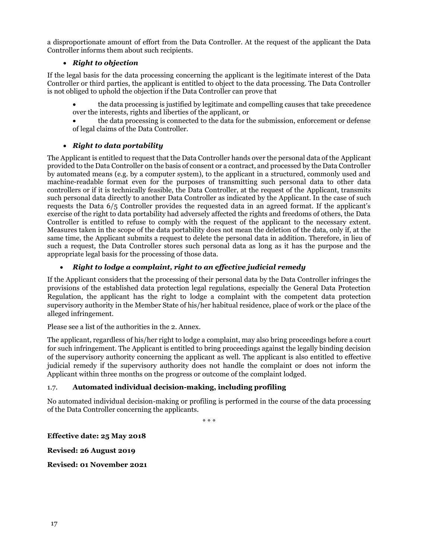a disproportionate amount of effort from the Data Controller. At the request of the applicant the Data Controller informs them about such recipients.

### • *Right to objection*

If the legal basis for the data processing concerning the applicant is the legitimate interest of the Data Controller or third parties, the applicant is entitled to object to the data processing. The Data Controller is not obliged to uphold the objection if the Data Controller can prove that

• the data processing is justified by legitimate and compelling causes that take precedence over the interests, rights and liberties of the applicant, or

• the data processing is connected to the data for the submission, enforcement or defense of legal claims of the Data Controller.

### • *Right to data portability*

The Applicant is entitled to request that the Data Controller hands over the personal data of the Applicant provided to the Data Controller on the basis of consent or a contract, and processed by the Data Controller by automated means (e.g. by a computer system), to the applicant in a structured, commonly used and machine-readable format even for the purposes of transmitting such personal data to other data controllers or if it is technically feasible, the Data Controller, at the request of the Applicant, transmits such personal data directly to another Data Controller as indicated by the Applicant. In the case of such requests the Data 6/5 Controller provides the requested data in an agreed format. If the applicant's exercise of the right to data portability had adversely affected the rights and freedoms of others, the Data Controller is entitled to refuse to comply with the request of the applicant to the necessary extent. Measures taken in the scope of the data portability does not mean the deletion of the data, only if, at the same time, the Applicant submits a request to delete the personal data in addition. Therefore, in lieu of such a request, the Data Controller stores such personal data as long as it has the purpose and the appropriate legal basis for the processing of those data.

### • *Right to lodge a complaint, right to an effective judicial remedy*

If the Applicant considers that the processing of their personal data by the Data Controller infringes the provisions of the established data protection legal regulations, especially the General Data Protection Regulation, the applicant has the right to lodge a complaint with the competent data protection supervisory authority in the Member State of his/her habitual residence, place of work or the place of the alleged infringement.

Please see a list of the authorities in the 2. Annex.

The applicant, regardless of his/her right to lodge a complaint, may also bring proceedings before a court for such infringement. The Applicant is entitled to bring proceedings against the legally binding decision of the supervisory authority concerning the applicant as well. The applicant is also entitled to effective judicial remedy if the supervisory authority does not handle the complaint or does not inform the Applicant within three months on the progress or outcome of the complaint lodged.

### 1.7. **Automated individual decision-making, including profiling**

No automated individual decision-making or profiling is performed in the course of the data processing of the Data Controller concerning the applicants.

\* \* \*

**Effective date: 25 May 2018**

**Revised: 26 August 2019**

**Revised: 01 November 2021**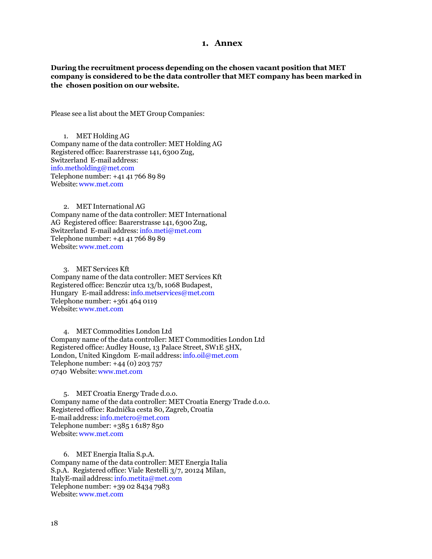#### **1. Annex**

**During the recruitment process depending on the chosen vacant position that MET company is considered to be the data controller that MET company has been marked in the chosen position on our website.**

Please see a list about the MET Group Companies:

1. MET Holding AG Company name of the data controller: MET Holding AG Registered office: Baarerstrasse 141, 6300 Zug, Switzerland E-mail address: [info.metholding@met.com](mailto:info.metholding@met.com) Telephone number: +41 41 766 89 89 Website[:www.met.com](http://www.met.com/)

2. MET International AG Company name of the data controller: MET International AG Registered office: Baarerstrasse 141, 6300 Zug, Switzerland E-mail address: [info.meti@met.com](mailto:info.meti@met.com) Telephone number: +41 41 766 89 89 Website[:www.met.com](http://www.met.com/)

3. MET Services Kft Company name of the data controller: MET Services Kft Registered office: Benczúr utca 13/b, 1068 Budapest, Hungary E-mail address: info.metservices@met.com Telephone number: +361 464 0119 Website[:www.met.com](http://www.met.com/)

4. MET Commodities London Ltd Company name of the data controller: MET Commodities London Ltd Registered office: Audley House, 13 Palace Street, SW1E 5HX, London, United Kingdom E-mail address: [info.oil@met.com](mailto:info.oil@met.com) Telephone number: +44 (0) 203 757 0740 Website[:www.met.com](http://www.met.com/)

5. MET Croatia Energy Trade d.o.o. Company name of the data controller: MET Croatia Energy Trade d.o.o. Registered office: Radnička cesta 80, Zagreb, Croatia E-mail address: [info.metcro@met.com](mailto:info.metcro@met.com) Telephone number: +385 1 6187 850 Website[:www.met.com](http://www.met.com/)

6. MET Energia Italia S.p.A. Company name of the data controller: MET Energia Italia S.p.A. Registered office: Viale Restelli 3/7, 20124 Milan, ItalyE-mail address: [info.metita@met.com](mailto:info.metita@met.com) Telephone number: +39 02 8434 7983 Website[:www.met.com](http://www.met.com/)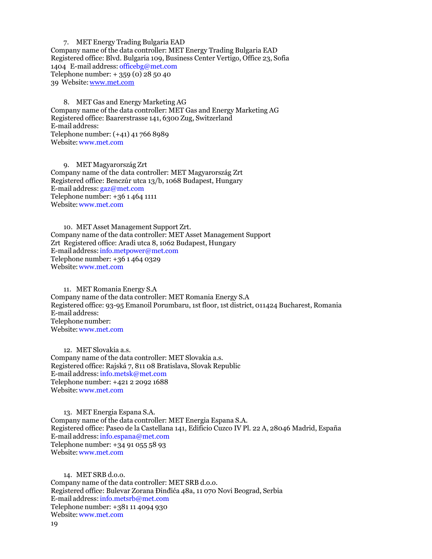7. MET Energy Trading Bulgaria EAD Company name of the data controller: MET Energy Trading Bulgaria EAD Registered office: Blvd. Bulgaria 109, Business Center Vertigo, Office 23, Sofia 1404 E-mail address: [officebg@met.com](mailto:officebg@met.com) Telephone number: + 359 (0) 28 50 40 39 Website[:www.met.com](http://www.met.com/)

8. MET Gas and Energy Marketing AG Company name of the data controller: MET Gas and Energy Marketing AG Registered office: Baarerstrasse 141, 6300 Zug, Switzerland E-mail address: Telephone number: (+41) 41 766 8989 Website[:www.met.com](http://www.met.com/)

9. MET Magyarország Zrt Company name of the data controller: MET Magyarország Zrt Registered office: Benczúr utca 13/b, 1068 Budapest, Hungary E-mail address: [gaz@met.com](mailto:gaz@met.com) Telephone number: +36 1 464 1111 Website[:www.met.com](http://www.met.com/)

10. MET Asset Management Support Zrt. Company name of the data controller: MET Asset Management Support Zrt Registered office: Aradi utca 8, 1062 Budapest, Hungary E-mail address: [info.metpower@met.com](mailto:info.metpower@met.com) Telephone number: +36 1 464 0329 Website[:www.met.com](http://www.met.com/)

11. MET Romania Energy S.A Company name of the data controller: MET Romania Energy S.A Registered office: 93-95 Emanoil Porumbaru, 1st floor, 1st district, 011424 Bucharest, Romania E-mail address: Telephonenumber: Website[:www.met.com](http://www.met.com/)

12. MET Slovakia a.s. Company name of the data controller: MET Slovakia a.s. Registered office: Rajská 7, 811 08 Bratislava, Slovak Republic E-mail address: [info.metsk@met.com](mailto:info.metsk@met.com) Telephone number: +421 2 2092 1688 Website[:www.met.com](http://www.met.com/)

13. MET Energia Espana S.A. Company name of the data controller: MET Energia Espana S.A. Registered office: Paseo de la Castellana 141, Edificio Cuzco IV Pl. 22 A, 28046 Madrid, España E-mail address: [info.espana@met.com](mailto:info.espana@met.com) Telephone number: +34 91 055 58 93 Website[:www.met.com](http://www.met.com/)

14. MET SRB d.o.o. Company name of the data controller: MET SRB d.o.o. Registered office: Bulevar Zorana Đinđića 48a, 11 070 Novi Beograd, Serbia E-mail address: [info.metsrb@met.com](mailto:info.metsrb@met.com) Telephone number: +381 11 4094 930 Website[:www.met.com](http://www.met.com/)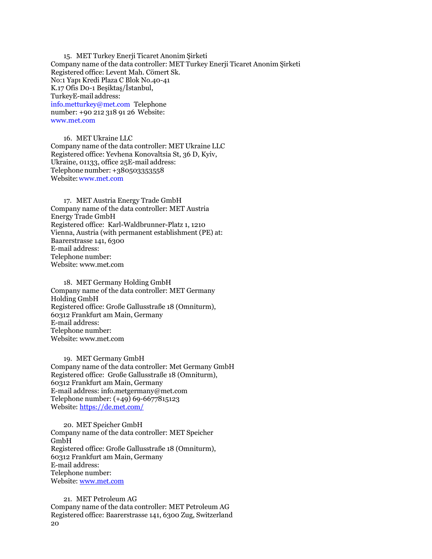15. MET Turkey Enerji Ticaret Anonim Şirketi Company name of the data controller: MET Turkey Enerji Ticaret Anonim Şirketi Registered office: Levent Mah. Cömert Sk. No:1 Yapı Kredi Plaza C Blok No.40-41 K.17 Ofis D0-1 Beşiktaş/İstanbul, TurkeyE-mail address: [info.metturkey@met.com](mailto:info.metturkey@met.com) Telephone number: +90 212 318 91 26 Website: [www.met.com](http://www.met.com/)

16. MET Ukraine LLC Company name of the data controller: MET Ukraine LLC Registered office: Yevhena Konovaltsia St, 36 D, Kyiv, Ukraine, 01133, office 25E-mail address: Telephone number: +380503353558 Website[:www.met.com](http://www.met.com/)

17. MET Austria Energy Trade GmbH Company name of the data controller: MET Austria Energy Trade GmbH Registered office: Karl-Waldbrunner-Platz 1, 1210 Vienna, Austria (with permanent establishment (PE) at: Baarerstrasse 141, 6300 E-mail address: Telephone number: Website: www.met.com

18. MET Germany Holding GmbH Company name of the data controller: MET Germany Holding GmbH Registered office: Große Gallusstraße 18 (Omniturm), 60312 Frankfurt am Main, Germany E-mail address: Telephone number: Website: [www.met.com](http://www.met.com/)

19. MET Germany GmbH Company name of the data controller: Met Germany GmbH Registered office: Große Gallusstraße 18 (Omniturm), 60312 Frankfurt am Main, Germany E-mail address: info.metgermany@met.com Telephone number: (+49) 69-6677815123 Website: <https://de.met.com/>

20. MET Speicher GmbH Company name of the data controller: MET Speicher GmbH Registered office: Große Gallusstraße 18 (Omniturm), 60312 Frankfurt am Main, Germany E-mail address: Telephone number: Website: [www.met.com](http://www.met.com/)

20 21. MET Petroleum AG Company name of the data controller: MET Petroleum AG Registered office: Baarerstrasse 141, 6300 Zug, Switzerland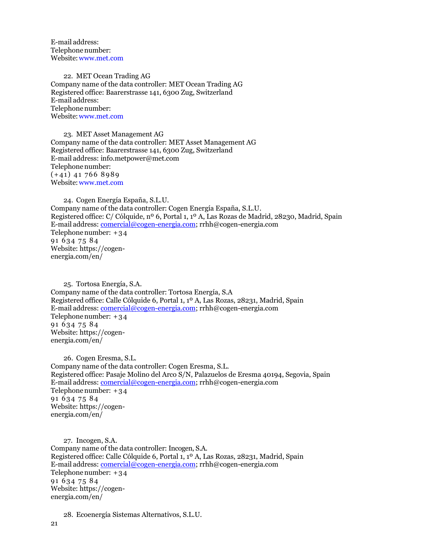E-mail address: Telephone number: Website[:www.met.com](http://www.met.com/)

22. MET Ocean Trading AG Company name of the data controller: MET Ocean Trading AG Registered office: Baarerstrasse 141, 6300 Zug, Switzerland E-mail address: Telephonenumber: Website[:www.met.com](http://www.met.com/)

23. MET Asset Management AG Company name of the data controller: MET Asset Management AG Registered office: Baarerstrasse 141, 6300 Zug, Switzerland E-mail address: info.metpower@met.com Telephone number:  $(+41)$  41 766 8989 Website[:www.met.com](http://www.met.com/)

24. Cogen Energía España, S.L.U. Company name of the data controller: Cogen Energía España, S.L.U. Registered office: C/ Cólquide, nº 6, Portal 1, 1º A, Las Rozas de Madrid, 28230, Madrid, Spain E-mail address: [comercial@cogen-energia.com;](mailto:comercial@cogen-energia.com) rrhh@cogen-energia.com Telephonenumber: + 3 4 91 6 3 4 7 5 8 4 Website: https://cogenenergia.com/en/

25. Tortosa Energía, S.A. Company name of the data controller: Tortosa Energía, S.A Registered office: Calle Cólquide 6, Portal 1, 1º A, Las Rozas, 28231, Madrid, Spain E-mail address[: comercial@cogen-energia.com;](mailto:comercial@cogen-energia.com) rrhh@cogen-energia.com Telephonenumber: + 3 4 91 6 3 4 7 5 8 4 Website: https://cogenenergia.com/en/

26. Cogen Eresma, S.L. Company name of the data controller: Cogen Eresma, S.L. Registered office: Pasaje Molino del Arco S/N, Palazuelos de Eresma 40194, Segovia, Spain E-mail address[: comercial@cogen-energia.com;](mailto:comercial@cogen-energia.com) rrhh@cogen-energia.com Telephonenumber: + 3 4 91 6 34 75 84 Website: https://cogenenergia.com/en/

27. Incogen, S.A. Company name of the data controller: Incogen, S.A. Registered office: Calle Cólquide 6, Portal 1, 1º A, Las Rozas, 28231, Madrid, Spain E-mail address[: comercial@cogen-energia.com;](mailto:comercial@cogen-energia.com) rrhh@cogen-energia.com Telephonenumber: + 3 4 91 6 34 75 84 Website: https://cogenenergia.com/en/

28. Ecoenergía Sistemas Alternativos, S.L.U.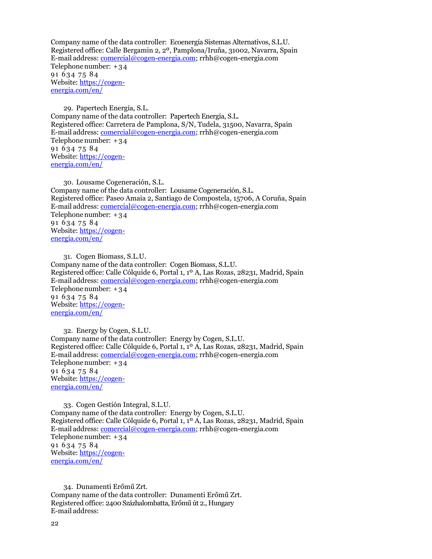Company name of the data controller: Ecoenergía Sistemas Alternativos, S.L.U. Registered office: Calle Bergamin 2, 2º, Pamplona/Iruña, 31002, Navarra, Spain E-mail address[: comercial@cogen-energia.com;](mailto:comercial@cogen-energia.com) rrhh@cogen-energia.com Telephonenumber: + 3 4 91 6 34 75 84 Website: [https://cogen](https://cogen-energia.com/en/)[energia.com/en/](https://cogen-energia.com/en/)

29. Papertech Energía, S.L. Company name of the data controller: Papertech Energía, S.L. Registered office: Carretera de Pamplona, S/N, Tudela, 31500, Navarra, Spain E-mail address[: comercial@cogen-energia.com;](mailto:comercial@cogen-energia.com) rrhh@cogen-energia.com Telephonenumber: + 3 4 91 6 34 75 84 Website: [https://cogen](https://cogen-energia.com/en/)[energia.com/en/](https://cogen-energia.com/en/)

30. Lousame Cogeneración, S.L. Company name of the data controller: Lousame Cogeneración, S.L. Registered office: Paseo Amaia 2, Santiago de Compostela, 15706, A Coruña, Spain E-mail address[: comercial@cogen-energia.com;](mailto:comercial@cogen-energia.com) rrhh@cogen-energia.com Telephonenumber: + 3 4 91 6 3 4 7 5 8 4 Website: [https://cogen](https://cogen-energia.com/en/)[energia.com/en/](https://cogen-energia.com/en/)

31. Cogen Biomass, S.L.U. Company name of the data controller: Cogen Biomass, S.L.U. Registered office: Calle Cólquide 6, Portal 1, 1º A, Las Rozas, 28231, Madrid, Spain E-mail address[: comercial@cogen-energia.com;](mailto:comercial@cogen-energia.com) rrhh@cogen-energia.com Telephonenumber: + 3 4 91 6 3 4 7 5 8 4 Website: [https://cogen](https://cogen-energia.com/en/)[energia.com/en/](https://cogen-energia.com/en/)

32. Energy by Cogen, S.L.U. Company name of the data controller: Energy by Cogen, S.L.U. Registered office: Calle Cólquide 6, Portal 1, 1º A, Las Rozas, 28231, Madrid, Spain E-mail address[: comercial@cogen-energia.com;](mailto:comercial@cogen-energia.com) rrhh@cogen-energia.com Telephonenumber: + 3 4 91 6 34 75 84 Website: [https://cogen](https://cogen-energia.com/en/)[energia.com/en/](https://cogen-energia.com/en/)

33. Cogen Gestión Integral, S.L.U. Company name of the data controller: Energy by Cogen, S.L.U. Registered office: Calle Cólquide 6, Portal 1, 1º A, Las Rozas, 28231, Madrid, Spain E-mail address[: comercial@cogen-energia.com;](mailto:comercial@cogen-energia.com) rrhh@cogen-energia.com Telephonenumber: + 3 4 91 6 34 75 84 Website: [https://cogen](https://cogen-energia.com/en/)[energia.com/en/](https://cogen-energia.com/en/)

34. [Dunamenti](http://intramet:8090/display/MGI/Dunamenti+Zrt.+-+Information) Erőmű Zrt. Company name of the data controller: [Dunamenti Erőmű Zrt.](http://intramet:8090/display/MGI/Dunamenti+Zrt.+-+Information) Registered office: 2400 Százhalombatta, Erőmű út 2., Hungary E-mail address: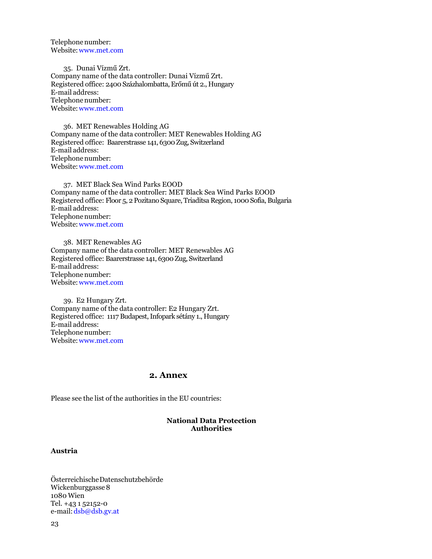Telephone number: Website[:www.met.com](http://www.met.com/)

35. [Dunai Vízmű Zrt.](http://intramet:8090/pages/viewpage.action?pageId=21038622) Company name of the data controller: Du[nai Vízmű Zrt.](http://intramet:8090/pages/viewpage.action?pageId=21038622) Registered office: 2400 Százhalombatta, Erőmű út 2., Hungary E-mail address: Telephone number: Website[:www.met.com](http://www.met.com/)

36. MET Renewables Holding AG Company name of the data controller: MET Renewables Holding AG Registered office: Baarerstrasse 141, 6300 Zug, Switzerland E-mail address: Telephone number: Website[:www.met.com](http://www.met.com/)

37. MET Black Sea Wind Parks EOOD Company name of the data controller: MET Black Sea Wind Parks EOOD Registered office: Floor 5, 2 Pozitano Square, Triaditsa Region, 1000 Sofia, Bulgaria E-mail address: Telephone number: Website[:www.met.com](http://www.met.com/)

38. MET Renewables AG Company name of the data controller: MET Renewables AG Registered office: Baarerstrasse 141, 6300 Zug, Switzerland E-mail address: Telephone number: Website[:www.met.com](http://www.met.com/)

39. E2 Hungary Zrt. Company name of the data controller: E2 Hungary Zrt. Registered office: 1117 Budapest, Infopark sétány 1., Hungary E-mail address: Telephone number: Website[:www.met.com](http://www.met.com/)

#### **2. Annex**

Please see the list of the authorities in the EU countries:

#### **National Data Protection Authorities**

#### **Austria**

ÖsterreichischeDatenschutzbehörde Wickenburggasse 8 1080 Wien Tel. +43 1 52152-0 e-mail: [dsb@dsb.gv.at](mailto:dsb@dsb.gv.at)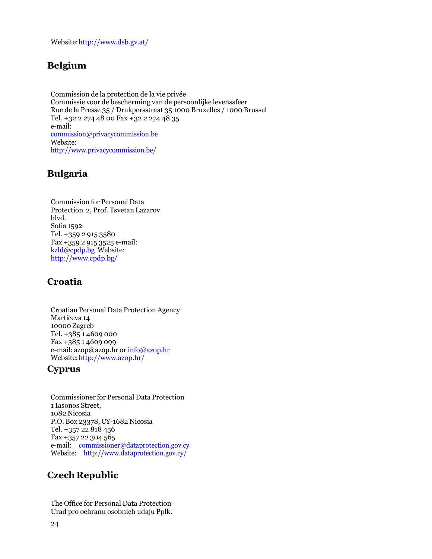Website[:http://www.dsb.gv.at/](http://www.dsb.gv.at/)

# **Belgium**

Commission de la protection de la vie privée Commissie voor de bescherming van de persoonlijke levenssfeer Rue de la Presse 35 / Drukpersstraat 35 1000 Bruxelles / 1000 Brussel Tel. +32 2 274 48 00 Fax +32 2 274 48 35 e-mail: [commission@privacycommission.be](mailto:commission@privacycommission.be) Website: <http://www.privacycommission.be/>

# **Bulgaria**

Commission for Personal Data Protection 2, Prof. Tsvetan Lazarov blvd. Sofia 1592 Tel. +359 2 915 3580 Fax +359 2 915 3525 e-mail: [kzld@cpdp.bg](mailto:kzld@cpdp.bg) Website: <http://www.cpdp.bg/>

# **Croatia**

Croatian Personal Data Protection Agency Martićeva 14 10000 Zagreb Tel. +385 1 4609 000 Fax +385 1 4609 099 e-mail: [azop@azop.hr](mailto:azop@azop.hr) or [info@azop.hr](mailto:info@azop.hr) Website[:http://www.azop.hr/](http://www.azop.hr/)

# **Cyprus**

Commissioner for Personal Data Protection 1 Iasonos Street, 1082 Nicosia P.O. Box 23378, CY-1682 Nicosia Tel. +357 22 818 456 Fax +357 22 304 565 e-mail: [commissioner@dataprotection.gov.cy](mailto:commissioner@dataprotection.gov.cy) Website: <http://www.dataprotection.gov.cy/>

# **Czech Republic**

The Office for Personal Data Protection Urad pro ochranu osobnich udaju Pplk.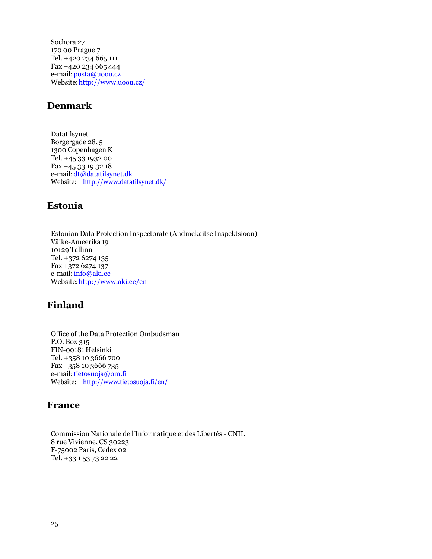Sochora 27 170 00 Prague 7 Tel. +420 234 665 111 Fax +420 234 665 444 e-mail: [posta@uoou.cz](mailto:posta@uoou.cz) Website[:http://www.uoou.cz/](http://www.uoou.cz/)

# **Denmark**

Datatilsynet Borgergade 28, 5 1300 Copenhagen K Tel. +45 33 1932 00 Fax +45 33 19 32 18 e-mail[:dt@datatilsynet.dk](mailto:dt@datatilsynet.dk) Website: <http://www.datatilsynet.dk/>

## **Estonia**

Estonian Data Protection Inspectorate (Andmekaitse Inspektsioon) Väike-Ameerika 19 10129 Tallinn Tel. +372 6274 135 Fax +372 6274 137 e-mail: [info@aki.ee](mailto:info@aki.ee) Website[:http://www.aki.ee/en](http://www.aki.ee/en)

# **Finland**

Office of the Data Protection Ombudsman P.O. Box 315 FIN-00181 Helsinki Tel. +358 10 3666 700 Fax +358 10 3666 735 e-mail: tietosuoja@om.fi Website: <http://www.tietosuoja.fi/en/>

## **France**

Commission Nationale de l'Informatique et des Libertés - CNIL 8 rue Vivienne, CS 30223 F-75002 Paris, Cedex 02 Tel. +33 1 53 73 22 22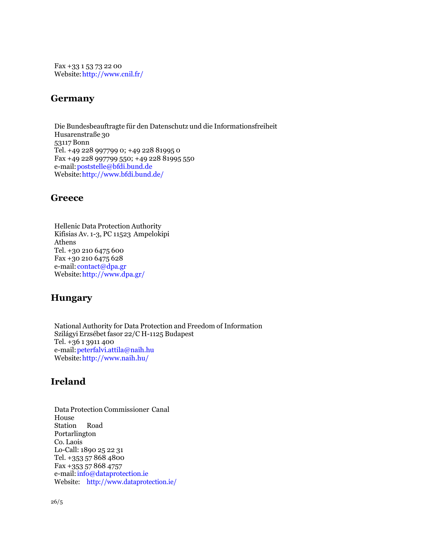Fax +33 1 53 73 22 00 Website[:http://www.cnil.fr/](http://www.cnil.fr/)

## **Germany**

Die Bundesbeauftragte für den Datenschutz und die Informationsfreiheit Husarenstraße 30 53117 Bonn Tel. +49 228 997799 0; +49 228 81995 0 Fax +49 228 997799 550; +49 228 81995 550 e-mail[:poststelle@bfdi.bund.de](mailto:poststelle@bfdi.bund.de) Website[:http://www.bfdi.bund.de/](http://www.bfdi.bund.de/)

## **Greece**

Hellenic Data Protection Authority Kifisias Av. 1-3, PC 11523 Ampelokipi Athens Tel. +30 210 6475 600 Fax +30 210 6475 628 e-mail: [contact@dpa.gr](mailto:contact@dpa.gr) Website[:http://www.dpa.gr/](http://www.dpa.gr/)

# **Hungary**

National Authority for Data Protection and Freedom of Information Szilágyi Erzsébet fasor 22/C H-1125 Budapest Tel. +36 1 3911 400 e-mail[:peterfalvi.attila@naih.hu](mailto:peterfalvi.attila@naih.hu) Website[:http://www.naih.hu/](http://www.naih.hu/)

# **Ireland**

Data Protection Commissioner Canal House Station Road Portarlington Co. Laois Lo-Call: 1890 25 22 31 Tel. +353 57 868 4800 Fax +353 57 868 4757 e-mail[:info@dataprotection.ie](mailto:info@dataprotection.ie) Website: <http://www.dataprotection.ie/>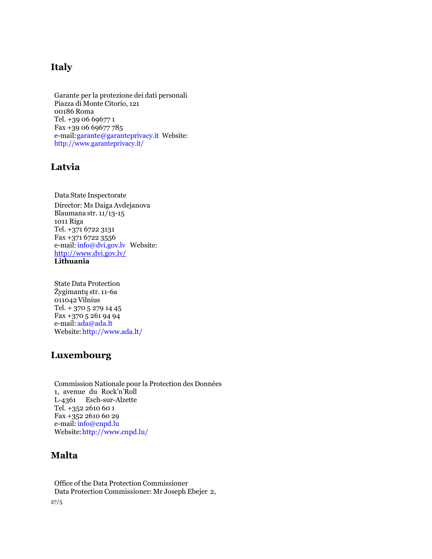# **Italy**

Garante per la protezione dei dati personali Piazza di Monte Citorio, 121 00186 Roma Tel. +39 06 69677 1 Fax +39 06 69677 785 e-mail[:garante@garanteprivacy.it](mailto:garante@garanteprivacy.it) Website: <http://www.garanteprivacy.it/>

# **Latvia**

Data State Inspectorate Director: Ms Daiga Avdejanova Blaumana str.  $11/13-15$ 1011 Riga Tel. +371 6722 3131 Fax +371 6722 3556 e-mail: info@dvi.gov.lv Website: <http://www.dvi.gov.lv/> **Lithuania**

State Data Protection Žygimantų str. 11-6a 011042 Vilnius Tel. + 370 5 279 14 45 Fax +370 5 261 94 94 e-mail: [ada@ada.lt](mailto:ada@ada.lt) Website[:http://www.ada.lt/](http://www.ada.lt/)

# **Luxembourg**

Commission Nationale pour la Protection des Données 1, avenue du Rock'n'Roll L-4361 Esch-sur-Alzette Tel. +352 2610 60 1 Fax +352 2610 60 29 e-mail: info@cnpd.lu Website[:http://www.cnpd.lu/](http://www.cnpd.lu/)

## **Malta**

27/5 Office of the Data Protection Commissioner Data Protection Commissioner: Mr Joseph Ebejer 2,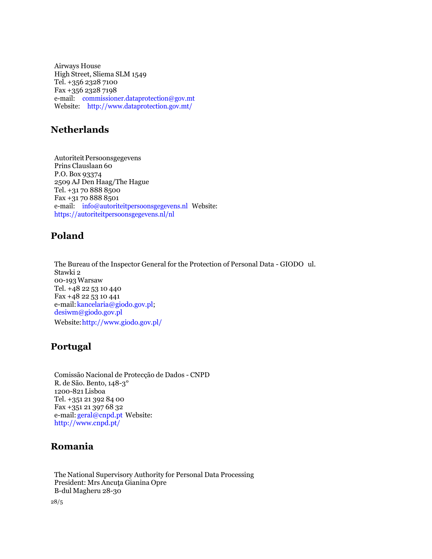Airways House High Street, Sliema SLM 1549 Tel. +356 2328 7100 Fax +356 2328 7198 e-mail: [commissioner.dataprotection@gov.mt](mailto:commissioner.dataprotection@gov.mt) Website: <http://www.dataprotection.gov.mt/>

# **Netherlands**

Autoriteit Persoonsgegevens Prins Clauslaan 60 P.O. Box 93374 2509 AJ Den Haag/The Hague Tel. +31 70 888 8500 Fax +31 70 888 8501 e-mail: [info@autoriteitpersoonsgegevens.nl](mailto:info@autoriteitpersoonsgegevens.nl) Website: https://autoriteitpersoonsgegevens.nl/nl

## **Poland**

The Bureau of the Inspector General for the Protection of Personal Data - GIODO ul. Stawki 2 00-193 Warsaw Tel. +48 22 53 10 440 Fax +48 22 53 10 441 e-mail:kancelaria@giodo.gov.pl; [desiwm@giodo.gov.pl](mailto:desiwm@giodo.gov.pl) Website[:http://www.giodo.gov.pl/](http://www.giodo.gov.pl/)

# **Portugal**

Comissão Nacional de Protecção de Dados - CNPD R. de São. Bento, 148-3° 1200-821 Lisboa Tel. +351 21 392 84 00 Fax +351 21 397 68 32 e-mail: [geral@cnpd.pt](mailto:geral@cnpd.pt) Website: <http://www.cnpd.pt/>

## **Romania**

The National Supervisory Authority for Personal Data Processing President: Mrs Ancuta Gianina Opre B-dul Magheru 28-30

28/5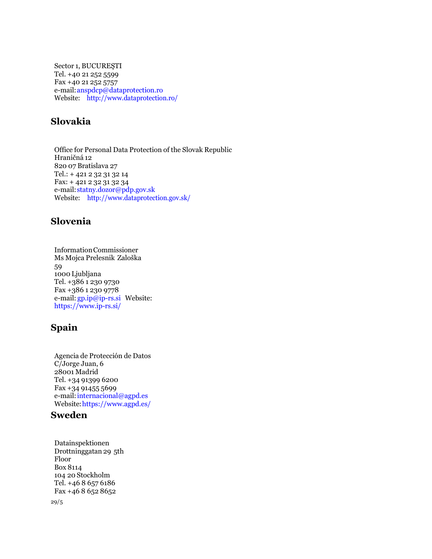Sector 1, BUCUREŞTI Tel. +40 21 252 5599 Fax +40 21 252 5757 e-mail[:anspdcp@dataprotection.ro](mailto:anspdcp@dataprotection.ro) Website: <http://www.dataprotection.ro/>

# **Slovakia**

Office for Personal Data Protection of the Slovak Republic Hraničná 12 820 07 Bratislava 27 Tel.: + 421 2 32 31 32 14 Fax: + 421 2 32 31 32 34 e-mail[:statny.dozor@pdp.gov.sk](mailto:statny.dozor@pdp.gov.sk) Website: <http://www.dataprotection.gov.sk/>

# **Slovenia**

InformationCommissioner Ms Mojca Prelesnik Zaloška 59 1000 Ljubljana Tel. +386 1 230 9730 Fax +386 1 230 9778 e-mail: [gp.ip@ip-rs.si](mailto:gp.ip@ip-rs.si) Website: https:/[/www.ip-rs.si/](http://www.ip-rs.si/)

# **Spain**

Agencia de Protección de Datos C/Jorge Juan, 6 28001 Madrid Tel. +34 91399 6200 Fax +34 91455 5699 e-mail: internacional@agpd.es Website:https:/[/www.agpd.es/](http://www.agpd.es/)

## **Sweden**

29/5 Datainspektionen Drottninggatan 29 5th Floor Box 8114 104 20 Stockholm Tel. +46 8 657 6186 Fax +46 8 652 8652